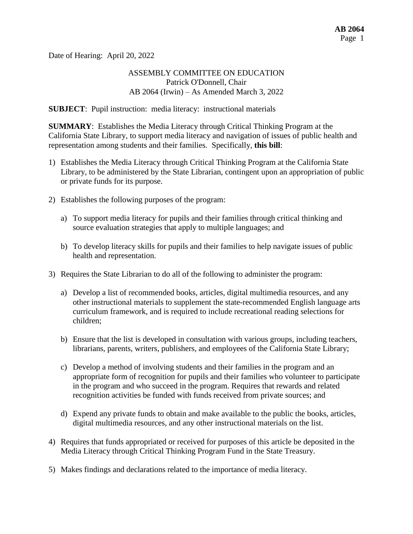Date of Hearing: April 20, 2022

### ASSEMBLY COMMITTEE ON EDUCATION Patrick O'Donnell, Chair AB 2064 (Irwin) – As Amended March 3, 2022

**SUBJECT**: Pupil instruction: media literacy: instructional materials

**SUMMARY**: Establishes the Media Literacy through Critical Thinking Program at the California State Library, to support media literacy and navigation of issues of public health and representation among students and their families. Specifically, **this bill**:

- 1) Establishes the Media Literacy through Critical Thinking Program at the California State Library, to be administered by the State Librarian, contingent upon an appropriation of public or private funds for its purpose.
- 2) Establishes the following purposes of the program:
	- a) To support media literacy for pupils and their families through critical thinking and source evaluation strategies that apply to multiple languages; and
	- b) To develop literacy skills for pupils and their families to help navigate issues of public health and representation.
- 3) Requires the State Librarian to do all of the following to administer the program:
	- a) Develop a list of recommended books, articles, digital multimedia resources, and any other instructional materials to supplement the state-recommended English language arts curriculum framework, and is required to include recreational reading selections for children;
	- b) Ensure that the list is developed in consultation with various groups, including teachers, librarians, parents, writers, publishers, and employees of the California State Library;
	- c) Develop a method of involving students and their families in the program and an appropriate form of recognition for pupils and their families who volunteer to participate in the program and who succeed in the program. Requires that rewards and related recognition activities be funded with funds received from private sources; and
	- d) Expend any private funds to obtain and make available to the public the books, articles, digital multimedia resources, and any other instructional materials on the list.
- 4) Requires that funds appropriated or received for purposes of this article be deposited in the Media Literacy through Critical Thinking Program Fund in the State Treasury.
- 5) Makes findings and declarations related to the importance of media literacy.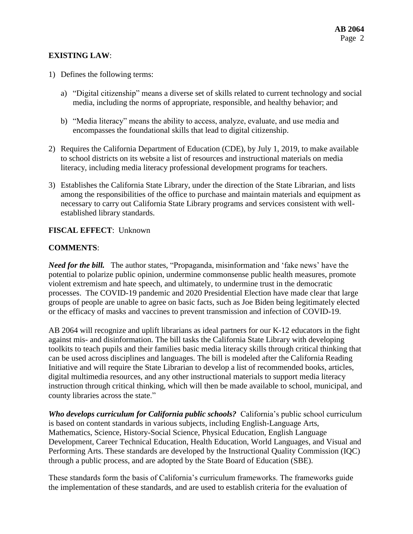### **EXISTING LAW**:

- 1) Defines the following terms:
	- a) "Digital citizenship" means a diverse set of skills related to current technology and social media, including the norms of appropriate, responsible, and healthy behavior; and
	- b) "Media literacy" means the ability to access, analyze, evaluate, and use media and encompasses the foundational skills that lead to digital citizenship.
- 2) Requires the California Department of Education (CDE), by July 1, 2019, to make available to school districts on its website a list of resources and instructional materials on media literacy, including media literacy professional development programs for teachers.
- 3) Establishes the California State Library, under the direction of the State Librarian, and lists among the responsibilities of the office to purchase and maintain materials and equipment as necessary to carry out California State Library programs and services consistent with wellestablished library standards.

#### **FISCAL EFFECT**: Unknown

#### **COMMENTS**:

*Need for the bill.* The author states, "Propaganda, misinformation and 'fake news' have the potential to polarize public opinion, undermine commonsense public health measures, promote violent extremism and hate speech, and ultimately, to undermine trust in the democratic processes. The COVID-19 pandemic and 2020 Presidential Election have made clear that large groups of people are unable to agree on basic facts, such as Joe Biden being legitimately elected or the efficacy of masks and vaccines to prevent transmission and infection of COVID-19.

AB 2064 will recognize and uplift librarians as ideal partners for our K-12 educators in the fight against mis- and disinformation. The bill tasks the California State Library with developing toolkits to teach pupils and their families basic media literacy skills through critical thinking that can be used across disciplines and languages. The bill is modeled after the California Reading Initiative and will require the State Librarian to develop a list of recommended books, articles, digital multimedia resources, and any other instructional materials to support media literacy instruction through critical thinking, which will then be made available to school, municipal, and county libraries across the state."

*Who develops curriculum for California public schools?* California's public school curriculum is based on content standards in various subjects, including English-Language Arts, Mathematics, Science, History-Social Science, Physical Education, English Language Development, Career Technical Education, Health Education, World Languages, and Visual and Performing Arts. These standards are developed by the Instructional Quality Commission (IQC) through a public process, and are adopted by the State Board of Education (SBE).

These standards form the basis of California's curriculum frameworks. The frameworks guide the implementation of these standards, and are used to establish criteria for the evaluation of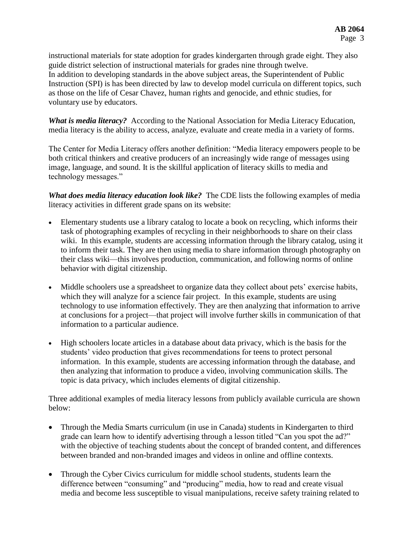instructional materials for state adoption for grades kindergarten through grade eight. They also guide district selection of instructional materials for grades nine through twelve. In addition to developing standards in the above subject areas, the Superintendent of Public Instruction (SPI) is has been directed by law to develop model curricula on different topics, such as those on the life of Cesar Chavez, human rights and genocide, and ethnic studies, for voluntary use by educators.

*What is media literacy?* According to the National Association for Media Literacy Education, media literacy is the ability to access, analyze, evaluate and create media in a variety of forms.

The Center for Media Literacy offers another definition: "Media literacy empowers people to be both critical thinkers and creative producers of an increasingly wide range of messages using image, language, and sound. It is the skillful application of literacy skills to media and technology messages."

*What does media literacy education look like?* The CDE lists the following examples of media literacy activities in different grade spans on its website:

- Elementary students use a library catalog to locate a book on recycling, which informs their task of photographing examples of recycling in their neighborhoods to share on their class wiki. In this example, students are accessing information through the library catalog, using it to inform their task. They are then using media to share information through photography on their class wiki—this involves production, communication, and following norms of online behavior with digital citizenship.
- Middle schoolers use a spreadsheet to organize data they collect about pets' exercise habits, which they will analyze for a science fair project. In this example, students are using technology to use information effectively. They are then analyzing that information to arrive at conclusions for a project—that project will involve further skills in communication of that information to a particular audience.
- High schoolers locate articles in a database about data privacy, which is the basis for the students' video production that gives recommendations for teens to protect personal information. In this example, students are accessing information through the database, and then analyzing that information to produce a video, involving communication skills. The topic is data privacy, which includes elements of digital citizenship.

Three additional examples of media literacy lessons from publicly available curricula are shown below:

- Through the Media Smarts curriculum (in use in Canada) students in Kindergarten to third grade can learn how to identify advertising through a lesson titled "Can you spot the ad?" with the objective of teaching students about the concept of branded content, and differences between branded and non-branded images and videos in online and offline contexts.
- Through the Cyber Civics curriculum for middle school students, students learn the difference between "consuming" and "producing" media, how to read and create visual media and become less susceptible to visual manipulations, receive safety training related to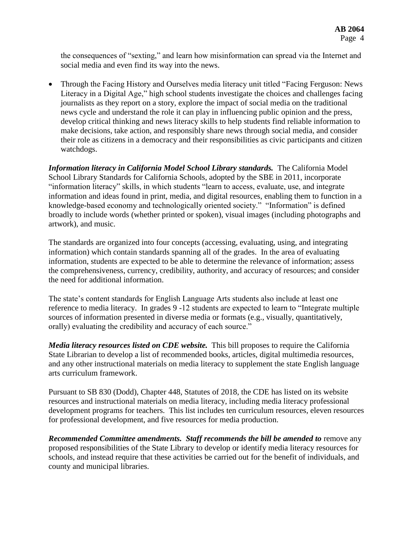the consequences of "sexting," and learn how misinformation can spread via the Internet and social media and even find its way into the news.

 Through the Facing History and Ourselves media literacy unit titled "Facing Ferguson: News Literacy in a Digital Age," high school students investigate the choices and challenges facing journalists as they report on a story, explore the impact of social media on the traditional news cycle and understand the role it can play in influencing public opinion and the press, develop critical thinking and news literacy skills to help students find reliable information to make decisions, take action, and responsibly share news through social media, and consider their role as citizens in a democracy and their responsibilities as civic participants and citizen watchdogs.

*Information literacy in California Model School Library standards.*The California Model School Library Standards for California Schools, adopted by the SBE in 2011, incorporate "information literacy" skills, in which students "learn to access, evaluate, use, and integrate information and ideas found in print, media, and digital resources, enabling them to function in a knowledge-based economy and technologically oriented society." "Information" is defined broadly to include words (whether printed or spoken), visual images (including photographs and artwork), and music.

The standards are organized into four concepts (accessing, evaluating, using, and integrating information) which contain standards spanning all of the grades. In the area of evaluating information, students are expected to be able to determine the relevance of information; assess the comprehensiveness, currency, credibility, authority, and accuracy of resources; and consider the need for additional information.

The state's content standards for English Language Arts students also include at least one reference to media literacy. In grades 9 -12 students are expected to learn to "Integrate multiple sources of information presented in diverse media or formats (e.g., visually, quantitatively, orally) evaluating the credibility and accuracy of each source."

*Media literacy resources listed on CDE website.* This bill proposes to require the California State Librarian to develop a list of recommended books, articles, digital multimedia resources, and any other instructional materials on media literacy to supplement the state English language arts curriculum framework.

Pursuant to SB 830 (Dodd), Chapter 448, Statutes of 2018, the CDE has listed on its website resources and instructional materials on media literacy, including media literacy professional development programs for teachers. This list includes ten curriculum resources, eleven resources for professional development, and five resources for media production.

*Recommended Committee amendments. Staff recommends the bill be amended to* remove any proposed responsibilities of the State Library to develop or identify media literacy resources for schools, and instead require that these activities be carried out for the benefit of individuals, and county and municipal libraries.